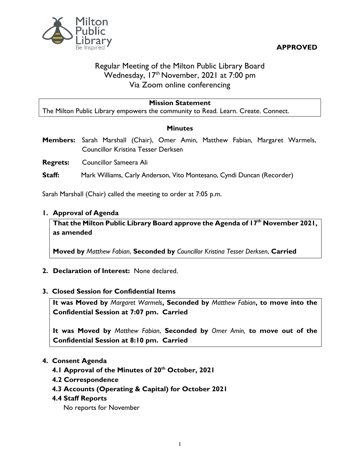**APPROVED**



# Regular Meeting of the Milton Public Library Board Wednesday, 17<sup>th</sup> November, 2021 at 7:00 pm Via Zoom online conferencing

### **Mission Statement**

The Milton Public Library empowers the community to Read. Learn. Create. Connect.

#### **Minutes**

**Members:** Sarah Marshall (Chair), Omer Amin, Matthew Fabian, Margaret Warmels, Councillor Kristina Tesser Derksen

**Regrets:** Councillor Sameera Ali

**Staff:** Mark Williams, Carly Anderson, Vito Montesano, Cyndi Duncan (Recorder)

Sarah Marshall (Chair) called the meeting to order at 7:05 p.m.

#### **1. Approval of Agenda**

**That the Milton Public Library Board approve the Agenda of 17th November 2021, as amended**

**Moved by** *Matthew Fabian*, **Seconded by** *Councillor Kristina Tesser Derksen*, **Carried**

#### **2. Declaration of Interest:** None declared.

#### **3. Closed Session for Confidential Items**

**It was Moved by** *Margaret Warmels***, Seconded by** *Matthew Fabian***, to move into the Confidential Session at 7:07 pm. Carried**

**It was Moved by** *Matthew Fabian*, **Seconded by** *Omer Amin,* **to move out of the Confidential Session at 8:10 pm. Carried**

#### **4. Consent Agenda**

- **4.1 Approval of the Minutes of 20th October, 2021**
- **4.2 Correspondence**
- **4.3 Accounts (Operating & Capital) for October 2021**

#### **4.4 Staff Reports**

No reports for November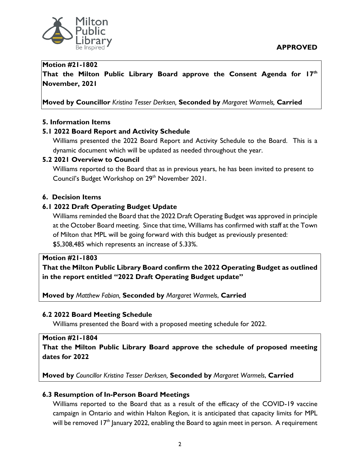

#### **Motion #21-1802**

**That the Milton Public Library Board approve the Consent Agenda for 17th November, 2021**

**Moved by Councillor** *Kristina Tesser Derksen,* **Seconded by** *Margaret Warmels,* **Carried**

### **5. Information Items**

### **5.1 2022 Board Report and Activity Schedule**

Williams presented the 2022 Board Report and Activity Schedule to the Board. This is a dynamic document which will be updated as needed throughout the year.

#### **5.2 2021 Overview to Council**

Williams reported to the Board that as in previous years, he has been invited to present to Council's Budget Workshop on 29<sup>th</sup> November 2021.

### **6. Decision Items**

## **6.1 2022 Draft Operating Budget Update**

Williams reminded the Board that the 2022 Draft Operating Budget was approved in principle at the October Board meeting. Since that time, Williams has confirmed with staff at the Town of Milton that MPL will be going forward with this budget as previously presented: \$5,308,485 which represents an increase of 5.33%.

#### **Motion #21-1803**

**That the Milton Public Library Board confirm the 2022 Operating Budget as outlined in the report entitled "2022 Draft Operating Budget update"**

**Moved by** *Matthew Fabian,* **Seconded by** *Margaret Warmels*, **Carried**

#### **6.2 2022 Board Meeting Schedule**

Williams presented the Board with a proposed meeting schedule for 2022.

#### **Motion #21-1804**

**That the Milton Public Library Board approve the schedule of proposed meeting dates for 2022** 

**Moved by** *Councillor Kristina Tesser Derksen,* **Seconded by** *Margaret Warmels*, **Carried**

## **6.3 Resumption of In-Person Board Meetings**

Williams reported to the Board that as a result of the efficacy of the COVID-19 vaccine campaign in Ontario and within Halton Region, it is anticipated that capacity limits for MPL will be removed  $17<sup>th</sup>$  January 2022, enabling the Board to again meet in person. A requirement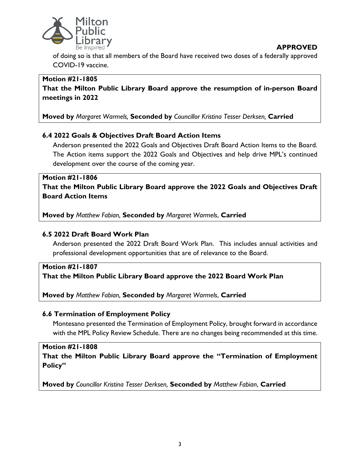



of doing so is that all members of the Board have received two doses of a federally approved COVID-19 vaccine.

# **Motion #21-1805**

**That the Milton Public Library Board approve the resumption of in-person Board meetings in 2022** 

**Moved by** *Margaret Warmels,* **Seconded by** *Councillor Kristina Tesser Derksen,* **Carried**

# **6.4 2022 Goals & Objectives Draft Board Action Items**

Anderson presented the 2022 Goals and Objectives Draft Board Action Items to the Board. The Action items support the 2022 Goals and Objectives and help drive MPL's continued development over the course of the coming year.

# **Motion #21-1806**

**That the Milton Public Library Board approve the 2022 Goals and Objectives Draft Board Action Items**

**Moved by** *Matthew Fabian,* **Seconded by** *Margaret Warmels*, **Carried**

# **6.5 2022 Draft Board Work Plan**

Anderson presented the 2022 Draft Board Work Plan. This includes annual activities and professional development opportunities that are of relevance to the Board.

# **Motion #21-1807 That the Milton Public Library Board approve the 2022 Board Work Plan**

**Moved by** *Matthew Fabian,* **Seconded by** *Margaret Warmels*, **Carried**

## **6.6 Termination of Employment Policy**

Montesano presented the Termination of Employment Policy, brought forward in accordance with the MPL Policy Review Schedule. There are no changes being recommended at this time.

## **Motion #21-1808**

**That the Milton Public Library Board approve the "Termination of Employment Policy"**

**Moved by** *Councillor Kristina Tesser Derksen,* **Seconded by** *Matthew Fabian*, **Carried**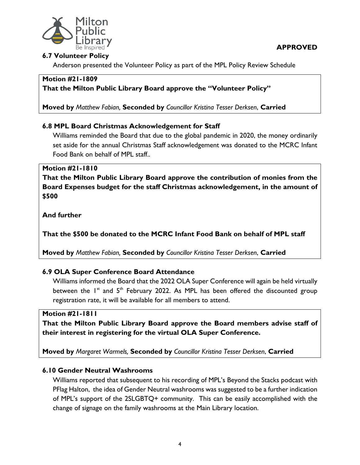

**APPROVED**

### **6.7 Volunteer Policy**

Anderson presented the Volunteer Policy as part of the MPL Policy Review Schedule

#### **Motion #21-1809**

**That the Milton Public Library Board approve the "Volunteer Policy"**

**Moved by** *Matthew Fabian,* **Seconded by** *Councillor Kristina Tesser Derksen*, **Carried**

## **6.8 MPL Board Christmas Acknowledgement for Staff**

Williams reminded the Board that due to the global pandemic in 2020, the money ordinarily set aside for the annual Christmas Staff acknowledgement was donated to the MCRC Infant Food Bank on behalf of MPL staff..

### **Motion #21-1810**

**That the Milton Public Library Board approve the contribution of monies from the Board Expenses budget for the staff Christmas acknowledgement, in the amount of \$500**

**And further**

**That the \$500 be donated to the MCRC Infant Food Bank on behalf of MPL staff**

**Moved by** *Matthew Fabian,* **Seconded by** *Councillor Kristina Tesser Derksen*, **Carried**

## **6.9 OLA Super Conference Board Attendance**

Williams informed the Board that the 2022 OLA Super Conference will again be held virtually between the  $1^{st}$  and  $5^{th}$  February 2022. As MPL has been offered the discounted group registration rate, it will be available for all members to attend.

#### **Motion #21-1811**

**That the Milton Public Library Board approve the Board members advise staff of their interest in registering for the virtual OLA Super Conference.**

**Moved by** *Margaret Warmels,* **Seconded by** *Councillor Kristina Tesser Derksen*, **Carried**

## **6.10 Gender Neutral Washrooms**

Williams reported that subsequent to his recording of MPL's Beyond the Stacks podcast with PFlag Halton, the idea of Gender Neutral washrooms was suggested to be a further indication of MPL's support of the 2SLGBTQ+ community. This can be easily accomplished with the change of signage on the family washrooms at the Main Library location.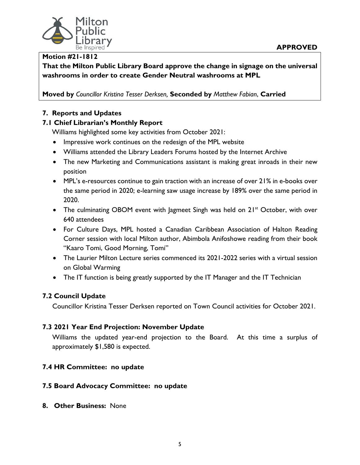

#### **Motion #21-1812**

**That the Milton Public Library Board approve the change in signage on the universal washrooms in order to create Gender Neutral washrooms at MPL**

**Moved by** *Councillor Kristina Tesser Derksen,* **Seconded by** *Matthew Fabian*, **Carried**

# **7. Reports and Updates**

### **7.1 Chief Librarian's Monthly Report**

Williams highlighted some key activities from October 2021:

- Impressive work continues on the redesign of the MPL website
- Williams attended the Library Leaders Forums hosted by the Internet Archive
- The new Marketing and Communications assistant is making great inroads in their new position
- MPL's e-resources continue to gain traction with an increase of over 21% in e-books over the same period in 2020; e-learning saw usage increase by 189% over the same period in 2020.
- The culminating OBOM event with Jagmeet Singh was held on 21<sup>st</sup> October, with over 640 attendees
- For Culture Days, MPL hosted a Canadian Caribbean Association of Halton Reading Corner session with local Milton author, Abimbola Anifoshowe reading from their book "Kaaro Tomi, Good Morning, Tomi"
- The Laurier Milton Lecture series commenced its 2021-2022 series with a virtual session on Global Warming
- The IT function is being greatly supported by the IT Manager and the IT Technician

## **7.2 Council Update**

Councillor Kristina Tesser Derksen reported on Town Council activities for October 2021.

## **7.3 2021 Year End Projection: November Update**

Williams the updated year-end projection to the Board. At this time a surplus of approximately \$1,580 is expected.

## **7.4 HR Committee: no update**

## **7.5 Board Advocacy Committee: no update**

**8. Other Business:** None